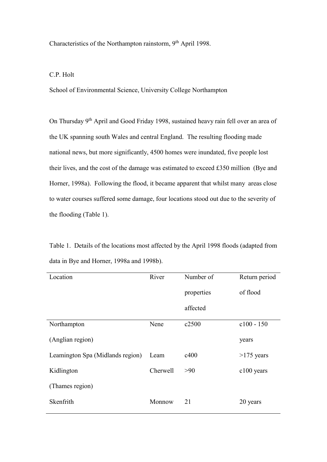Characteristics of the Northampton rainstorm, 9th April 1998.

## C.P. Holt

School of Environmental Science, University College Northampton

On Thursday 9th April and Good Friday 1998, sustained heavy rain fell over an area of the UK spanning south Wales and central England. The resulting flooding made national news, but more significantly, 4500 homes were inundated, five people lost their lives, and the cost of the damage was estimated to exceed £350 million (Bye and Horner, 1998a). Following the flood, it became apparent that whilst many areas close to water courses suffered some damage, four locations stood out due to the severity of the flooding (Table 1).

Table 1. Details of the locations most affected by the April 1998 floods (adapted from data in Bye and Horner, 1998a and 1998b).

| Location                         | River           | Number of  | Return period |
|----------------------------------|-----------------|------------|---------------|
|                                  |                 | properties | of flood      |
|                                  |                 | affected   |               |
| Northampton                      | Nene            | c2500      | $c100 - 150$  |
| (Anglian region)                 |                 |            | years         |
| Leamington Spa (Midlands region) | Leam            | c400       | $>175$ years  |
| Kidlington                       | <b>Cherwell</b> | >90        | $c100$ years  |
| (Thames region)                  |                 |            |               |
| Skenfrith                        | Monnow          | 21         | 20 years      |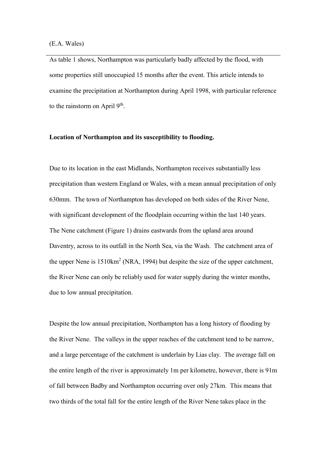As table 1 shows, Northampton was particularly badly affected by the flood, with some properties still unoccupied 15 months after the event. This article intends to examine the precipitation at Northampton during April 1998, with particular reference to the rainstorm on April  $9<sup>th</sup>$ .

### **Location of Northampton and its susceptibility to flooding.**

Due to its location in the east Midlands, Northampton receives substantially less precipitation than western England or Wales, with a mean annual precipitation of only 630mm. The town of Northampton has developed on both sides of the River Nene, with significant development of the floodplain occurring within the last 140 years. The Nene catchment (Figure 1) drains eastwards from the upland area around Daventry, across to its outfall in the North Sea, via the Wash. The catchment area of the upper Nene is  $1510 \text{km}^2$  (NRA, 1994) but despite the size of the upper catchment, the River Nene can only be reliably used for water supply during the winter months, due to low annual precipitation.

Despite the low annual precipitation, Northampton has a long history of flooding by the River Nene. The valleys in the upper reaches of the catchment tend to be narrow, and a large percentage of the catchment is underlain by Lias clay. The average fall on the entire length of the river is approximately 1m per kilometre, however, there is 91m of fall between Badby and Northampton occurring over only 27km. This means that two thirds of the total fall for the entire length of the River Nene takes place in the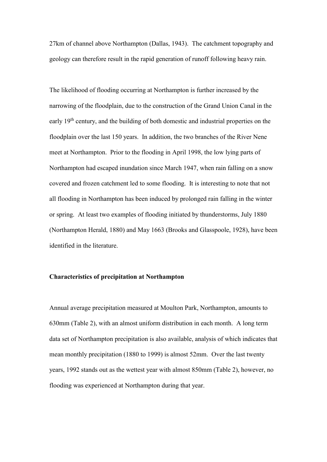27km of channel above Northampton (Dallas, 1943). The catchment topography and geology can therefore result in the rapid generation of runoff following heavy rain.

The likelihood of flooding occurring at Northampton is further increased by the narrowing of the floodplain, due to the construction of the Grand Union Canal in the early 19th century, and the building of both domestic and industrial properties on the floodplain over the last 150 years. In addition, the two branches of the River Nene meet at Northampton. Prior to the flooding in April 1998, the low lying parts of Northampton had escaped inundation since March 1947, when rain falling on a snow covered and frozen catchment led to some flooding. It is interesting to note that not all flooding in Northampton has been induced by prolonged rain falling in the winter or spring. At least two examples of flooding initiated by thunderstorms, July 1880 (Northampton Herald, 1880) and May 1663 (Brooks and Glasspoole, 1928), have been identified in the literature.

### **Characteristics of precipitation at Northampton**

Annual average precipitation measured at Moulton Park, Northampton, amounts to 630mm (Table 2), with an almost uniform distribution in each month. A long term data set of Northampton precipitation is also available, analysis of which indicates that mean monthly precipitation (1880 to 1999) is almost 52mm. Over the last twenty years, 1992 stands out as the wettest year with almost 850mm (Table 2), however, no flooding was experienced at Northampton during that year.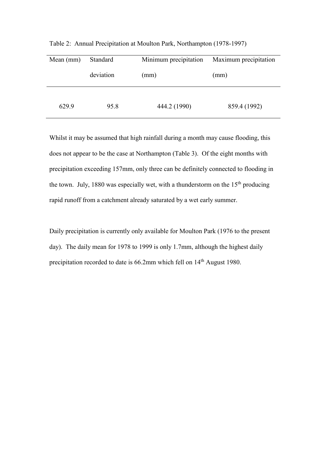| Mean $(mm)$ | Standard  | Minimum precipitation | Maximum precipitation |  |
|-------------|-----------|-----------------------|-----------------------|--|
|             | deviation | (mm)                  | (mm)                  |  |
| 629.9       | 95.8      | 444.2 (1990)          | 859.4 (1992)          |  |

Table 2: Annual Precipitation at Moulton Park, Northampton (1978-1997)

Whilst it may be assumed that high rainfall during a month may cause flooding, this does not appear to be the case at Northampton (Table 3). Of the eight months with precipitation exceeding 157mm, only three can be definitely connected to flooding in the town. July, 1880 was especially wet, with a thunderstorm on the  $15<sup>th</sup>$  producing rapid runoff from a catchment already saturated by a wet early summer.

Daily precipitation is currently only available for Moulton Park (1976 to the present day). The daily mean for 1978 to 1999 is only 1.7mm, although the highest daily precipitation recorded to date is 66.2mm which fell on 14<sup>th</sup> August 1980.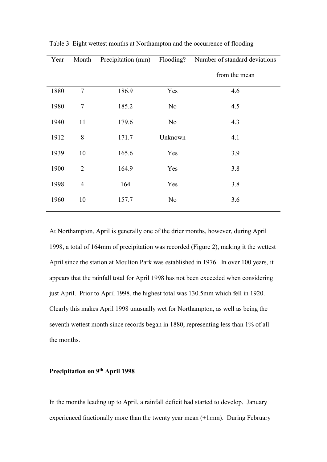| Year | Month          |       |         | Precipitation (mm) Flooding? Number of standard deviations |
|------|----------------|-------|---------|------------------------------------------------------------|
|      |                |       |         | from the mean                                              |
| 1880 | $\tau$         | 186.9 | Yes     | 4.6                                                        |
| 1980 | $\tau$         | 185.2 | No      | 4.5                                                        |
| 1940 | 11             | 179.6 | No      | 4.3                                                        |
| 1912 | 8              | 171.7 | Unknown | 4.1                                                        |
| 1939 | 10             | 165.6 | Yes     | 3.9                                                        |
| 1900 | $\overline{2}$ | 164.9 | Yes     | 3.8                                                        |
| 1998 | $\overline{4}$ | 164   | Yes     | 3.8                                                        |
| 1960 | 10             | 157.7 | No      | 3.6                                                        |
|      |                |       |         |                                                            |

Table 3 Eight wettest months at Northampton and the occurrence of flooding

At Northampton, April is generally one of the drier months, however, during April 1998, a total of 164mm of precipitation was recorded (Figure 2), making it the wettest April since the station at Moulton Park was established in 1976. In over 100 years, it appears that the rainfall total for April 1998 has not been exceeded when considering just April. Prior to April 1998, the highest total was 130.5mm which fell in 1920. Clearly this makes April 1998 unusually wet for Northampton, as well as being the seventh wettest month since records began in 1880, representing less than 1% of all the months.

# **Precipitation on 9th April 1998**

In the months leading up to April, a rainfall deficit had started to develop. January experienced fractionally more than the twenty year mean (+1mm). During February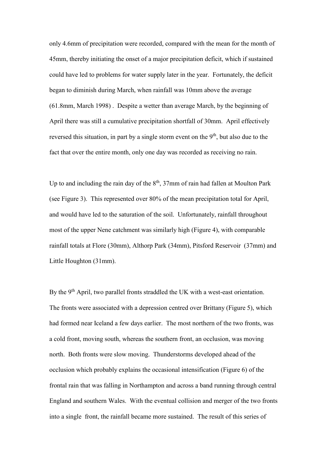only 4.6mm of precipitation were recorded, compared with the mean for the month of 45mm, thereby initiating the onset of a major precipitation deficit, which if sustained could have led to problems for water supply later in the year. Fortunately, the deficit began to diminish during March, when rainfall was 10mm above the average (61.8mm, March 1998) . Despite a wetter than average March, by the beginning of April there was still a cumulative precipitation shortfall of 30mm. April effectively reversed this situation, in part by a single storm event on the  $9<sup>th</sup>$ , but also due to the fact that over the entire month, only one day was recorded as receiving no rain.

Up to and including the rain day of the  $8<sup>th</sup>$ , 37mm of rain had fallen at Moulton Park (see Figure 3). This represented over 80% of the mean precipitation total for April, and would have led to the saturation of the soil. Unfortunately, rainfall throughout most of the upper Nene catchment was similarly high (Figure 4), with comparable rainfall totals at Flore (30mm), Althorp Park (34mm), Pitsford Reservoir (37mm) and Little Houghton (31mm).

By the 9<sup>th</sup> April, two parallel fronts straddled the UK with a west-east orientation. The fronts were associated with a depression centred over Brittany (Figure 5), which had formed near Iceland a few days earlier. The most northern of the two fronts, was a cold front, moving south, whereas the southern front, an occlusion, was moving north. Both fronts were slow moving. Thunderstorms developed ahead of the occlusion which probably explains the occasional intensification (Figure 6) of the frontal rain that was falling in Northampton and across a band running through central England and southern Wales. With the eventual collision and merger of the two fronts into a single front, the rainfall became more sustained. The result of this series of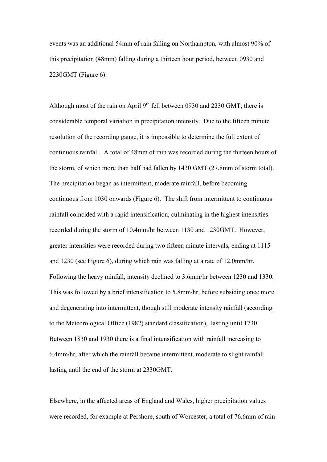events was an additional 54mm of rain falling on Northampton, with almost 90% of this precipitation (48mm) falling during a thirteen hour period, between 0930 and 2230GMT (Figure 6).

Although most of the rain on April  $9<sup>th</sup>$  fell between 0930 and 2230 GMT, there is considerable temporal variation in precipitation intensity. Due to the fifteen minute resolution of the recording gauge, it is impossible to determine the full extent of continuous rainfall. A total of 48mm of rain was recorded during the thirteen hours of the storm, of which more than half had fallen by 1430 GMT (27.8mm of storm total). The precipitation began as intermittent, moderate rainfall, before becoming continuous from 1030 onwards (Figure 6). The shift from intermittent to continuous rainfall coincided with a rapid intensification, culminating in the highest intensities recorded during the storm of 10.4mm/hr between 1130 and 1230GMT. However, greater intensities were recorded during two fifteen minute intervals, ending at 1115 and 1230 (see Figure 6), during which rain was falling at a rate of 12.0mm/hr. Following the heavy rainfall, intensity declined to 3.6mm/hr between 1230 and 1330. This was followed by a brief intensification to 5.8mm/hr, before subsiding once more and degenerating into intermittent, though still moderate intensity rainfall (according to the Meteorological Office (1982) standard classification), lasting until 1730. Between 1830 and 1930 there is a final intensification with rainfall increasing to 6.4mm/hr, after which the rainfall became intermittent, moderate to slight rainfall lasting until the end of the storm at 2330GMT.

Elsewhere, in the affected areas of England and Wales, higher precipitation values were recorded, for example at Pershore, south of Worcester, a total of 76.6mm of rain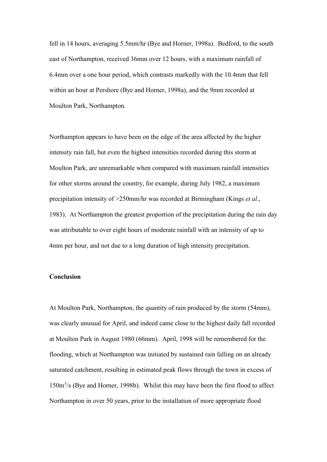fell in 14 hours, averaging 5.5mm/hr (Bye and Horner, 1998a). Bedford, to the south east of Northampton, received 36mm over 12 hours, with a maximum rainfall of 6.4mm over a one hour period, which contrasts markedly with the 10.4mm that fell within an hour at Pershore (Bye and Horner, 1998a), and the 9mm recorded at Moulton Park, Northampton.

Northampton appears to have been on the edge of the area affected by the higher intensity rain fall, but even the highest intensities recorded during this storm at Moulton Park, are unremarkable when compared with maximum rainfall intensities for other storms around the country, for example, during July 1982, a maximum precipitation intensity of >250mm/hr was recorded at Birmingham (Kings *et al*., 1983). At Northampton the greatest proportion of the precipitation during the rain day was attributable to over eight hours of moderate rainfall with an intensity of up to 4mm per hour, and not due to a long duration of high intensity precipitation.

### **Conclusion**

At Moulton Park, Northampton, the quantity of rain produced by the storm (54mm), was clearly unusual for April, and indeed came close to the highest daily fall recorded at Moulton Park in August 1980 (66mm). April, 1998 will be remembered for the flooding, which at Northampton was initiated by sustained rain falling on an already saturated catchment, resulting in estimated peak flows through the town in excess of 150m<sup>3</sup>/s (Bye and Horner, 1998b). Whilst this may have been the first flood to affect Northampton in over 50 years, prior to the installation of more appropriate flood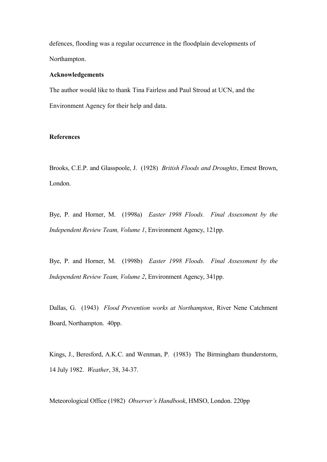defences, flooding was a regular occurrence in the floodplain developments of Northampton.

#### **Acknowledgements**

The author would like to thank Tina Fairless and Paul Stroud at UCN, and the Environment Agency for their help and data.

## **References**

Brooks, C.E.P. and Glasspoole, J. (1928) *British Floods and Droughts*, Ernest Brown, London.

Bye, P. and Horner, M. (1998a) *Easter 1998 Floods. Final Assessment by the Independent Review Team, Volume 1*, Environment Agency, 121pp.

Bye, P. and Horner, M. (1998b) *Easter 1998 Floods. Final Assessment by the Independent Review Team, Volume 2*, Environment Agency, 341pp.

Dallas, G. (1943) *Flood Prevention works at Northampton*, River Nene Catchment Board, Northampton. 40pp.

Kings, J., Beresford, A.K.C. and Wenman, P. (1983) The Birmingham thunderstorm, 14 July 1982. *Weather*, 38, 34-37.

Meteorological Office (1982) *Observer's Handbook*, HMSO, London. 220pp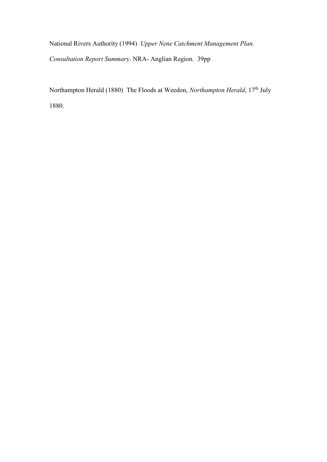National Rivers Authority (1994) *Upper Nene Catchment Management Plan. Consultation Report Summary*. NRA- Anglian Region. 39pp

Northampton Herald (1880) The Floods at Weedon, *Northampton Herald*, 17<sup>th</sup> July 1880.